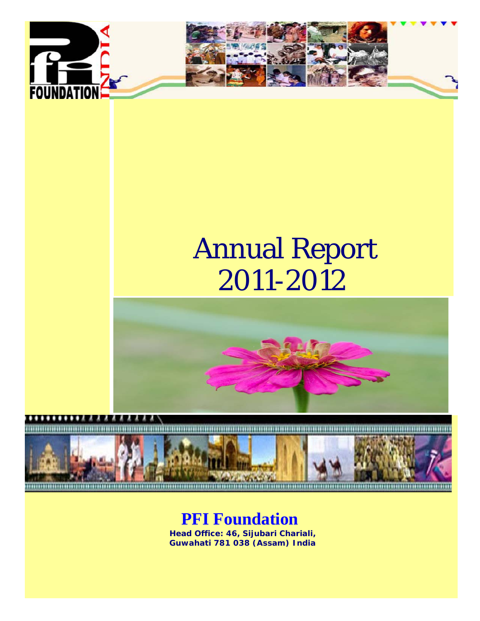



# Annual Report 2011-2012





# **PFI Foundation**

**Head Office: 46, Sijubari Chariali, Guwahati 781 038 (Assam) India**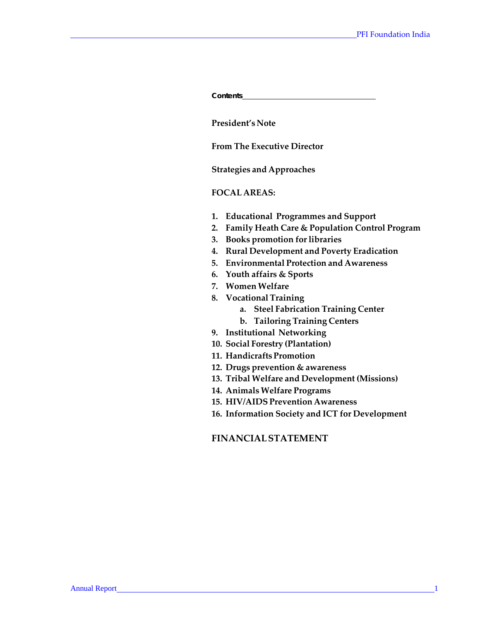| <b>Contents</b>                                                                                                                                                                                                                                                                                                                                                                                                                                                                                                                                                                                                                                                                                                                                                                 |
|---------------------------------------------------------------------------------------------------------------------------------------------------------------------------------------------------------------------------------------------------------------------------------------------------------------------------------------------------------------------------------------------------------------------------------------------------------------------------------------------------------------------------------------------------------------------------------------------------------------------------------------------------------------------------------------------------------------------------------------------------------------------------------|
| President's Note                                                                                                                                                                                                                                                                                                                                                                                                                                                                                                                                                                                                                                                                                                                                                                |
| <b>From The Executive Director</b>                                                                                                                                                                                                                                                                                                                                                                                                                                                                                                                                                                                                                                                                                                                                              |
| <b>Strategies and Approaches</b>                                                                                                                                                                                                                                                                                                                                                                                                                                                                                                                                                                                                                                                                                                                                                |
| <b>FOCAL AREAS:</b>                                                                                                                                                                                                                                                                                                                                                                                                                                                                                                                                                                                                                                                                                                                                                             |
| 1.<br><b>Educational Programmes and Support</b><br>Family Heath Care & Population Control Program<br>2.<br><b>Books promotion for libraries</b><br>3.<br><b>Rural Development and Poverty Eradication</b><br>4.<br><b>Environmental Protection and Awareness</b><br>5.<br>6. Youth affairs & Sports<br>7. Women Welfare<br>8. Vocational Training<br><b>Steel Fabrication Training Center</b><br>a.<br>b. Tailoring Training Centers<br>9. Institutional Networking<br>10. Social Forestry (Plantation)<br>11. Handicrafts Promotion<br>12. Drugs prevention & awareness<br>13. Tribal Welfare and Development (Missions)<br>14. Animals Welfare Programs<br>15. HIV/AIDS Prevention Awareness<br>16. Information Society and ICT for Development<br><b>FINANCIAL STATEMENT</b> |
|                                                                                                                                                                                                                                                                                                                                                                                                                                                                                                                                                                                                                                                                                                                                                                                 |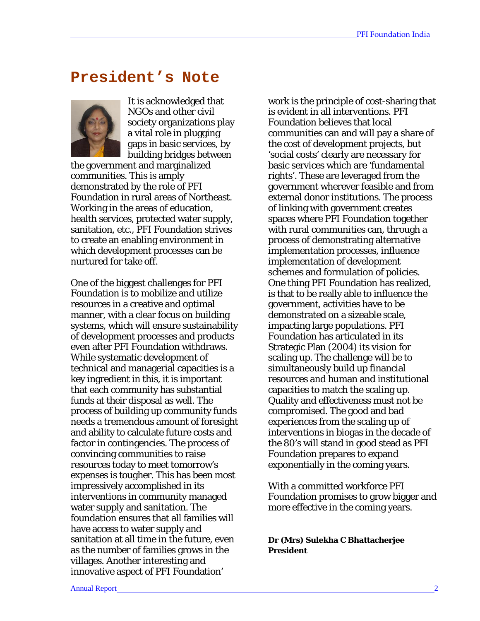# **President's Note**



It is acknowledged that NGOs and other civil society organizations play a vital role in plugging gaps in basic services, by building bridges between

the government and marginalized communities. This is amply demonstrated by the role of PFI Foundation in rural areas of Northeast. Working in the areas of education, health services, protected water supply, sanitation, etc., PFI Foundation strives to create an enabling environment in which development processes can be nurtured for take off.

One of the biggest challenges for PFI Foundation is to mobilize and utilize resources in a creative and optimal manner, with a clear focus on building systems, which will ensure sustainability of development processes and products even after PFI Foundation withdraws. While systematic development of technical and managerial capacities is a key ingredient in this, it is important that each community has substantial funds at their disposal as well. The process of building up community funds needs a tremendous amount of foresight and ability to calculate future costs and factor in contingencies. The process of convincing communities to raise resources today to meet tomorrow's expenses is tougher. This has been most impressively accomplished in its interventions in community managed water supply and sanitation. The foundation ensures that all families will have access to water supply and sanitation at all time in the future, even as the number of families grows in the villages. Another interesting and innovative aspect of PFI Foundation'

work is the principle of cost-sharing that is evident in all interventions. PFI Foundation believes that local communities can and will pay a share of the cost of development projects, but 'social costs' clearly are necessary for basic services which are 'fundamental rights'. These are leveraged from the government wherever feasible and from external donor institutions. The process of linking with government creates spaces where PFI Foundation together with rural communities can, through a process of demonstrating alternative implementation processes, influence implementation of development schemes and formulation of policies. One thing PFI Foundation has realized, is that to be really able to influence the government, activities have to be demonstrated on a sizeable scale, impacting large populations. PFI Foundation has articulated in its Strategic Plan (2004) its vision for scaling up. The challenge will be to simultaneously build up financial resources and human and institutional capacities to match the scaling up. Quality and effectiveness must not be compromised. The good and bad experiences from the scaling up of interventions in biogas in the decade of the 80's will stand in good stead as PFI Foundation prepares to expand exponentially in the coming years.

With a committed workforce PFI Foundation promises to grow bigger and more effective in the coming years.

**Dr (Mrs) Sulekha C Bhattacherjee President**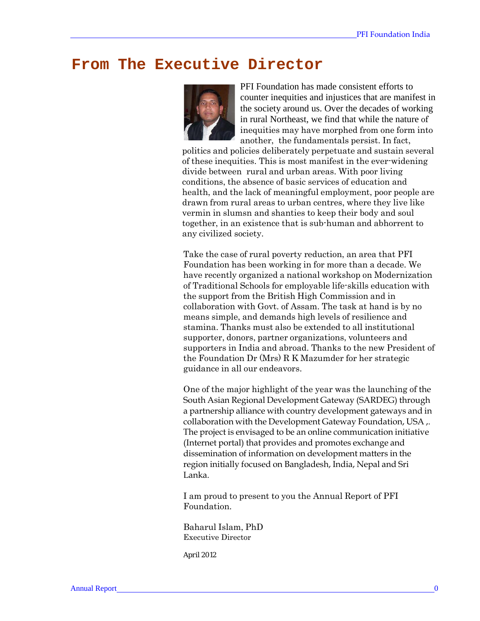# **From The Executive Director**



PFI Foundation has made consistent efforts to counter inequities and injustices that are manifest in the society around us. Over the decades of working in rural Northeast, we find that while the nature of inequities may have morphed from one form into another, the fundamentals persist. In fact,

politics and policies deliberately perpetuate and sustain several of these inequities. This is most manifest in the ever-widening divide between rural and urban areas. With poor living conditions, the absence of basic services of education and health, and the lack of meaningful employment, poor people are drawn from rural areas to urban centres, where they live like vermin in slumsn and shanties to keep their body and soul together, in an existence that is sub-human and abhorrent to any civilized society.

Take the case of rural poverty reduction, an area that PFI Foundation has been working in for more than a decade. We have recently organized a national workshop on Modernization of Traditional Schools for employable life-skills education with the support from the British High Commission and in collaboration with Govt. of Assam. The task at hand is by no means simple, and demands high levels of resilience and stamina. Thanks must also be extended to all institutional supporter, donors, partner organizations, volunteers and supporters in India and abroad. Thanks to the new President of the Foundation Dr (Mrs) R K Mazumder for her strategic guidance in all our endeavors.

One of the major highlight of the year was the launching of the South Asian Regional Development Gateway (SARDEG) through a partnership alliance with country development gateways and in collaboration with the Development Gateway Foundation, USA ,. The project is envisaged to be an online communication initiative (Internet portal) that provides and promotes exchange and dissemination of information on development matters in the region initially focused on Bangladesh, India, Nepal and Sri Lanka.

I am proud to present to you the Annual Report of PFI Foundation.

Baharul Islam, PhD Executive Director

*April 2012*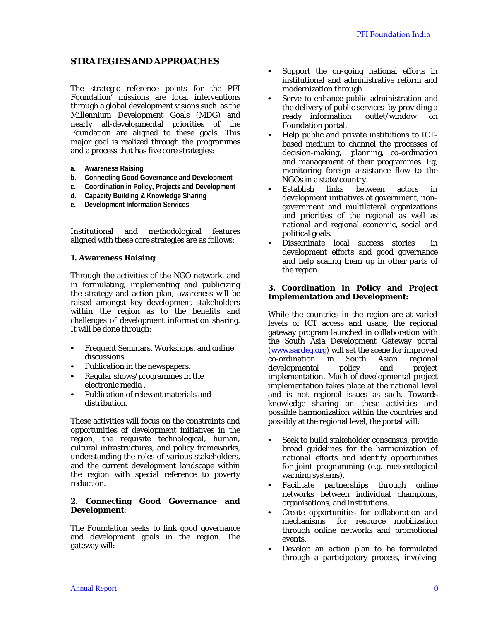# **STRATEGIES AND APPROACHES**

The strategic reference points for the PFI Foundation' missions are local interventions through a global development visions such as the Millennium Development Goals (MDG) and nearly all-developmental priorities of the Foundation are aligned to these goals. This major goal is realized through the programmes and a process that has five core strategies:

- **a. Awareness Raising**
- **b. Connecting Good Governance and Development**
- **c. Coordination in Policy, Projects and Development**
- **d. Capacity Building & Knowledge Sharing**
- **e. Development Information Services**

Institutional and methodological features aligned with these core strategies are as follows:

#### **1. Awareness Raising**:

Through the activities of the NGO network, and in formulating, implementing and publicizing the strategy and action plan, awareness will be raised amongst key development stakeholders within the region as to the benefits and challenges of development information sharing. It will be done through:

- Frequent Seminars, Workshops, and online discussions.
- Publication in the newspapers.
- Regular shows/programmes in the electronic media .
- Publication of relevant materials and distribution.

These activities will focus on the constraints and opportunities of development initiatives in the region, the requisite technological, human, cultural infrastructures, and policy frameworks, understanding the roles of various stakeholders, and the current development landscape within the region with special reference to poverty reduction.

#### **2. Connecting Good Governance and Development**:

The Foundation seeks to link good governance and development goals in the region. The gateway will:

- Support the on-going national efforts in institutional and administrative reform and modernization through
- Serve to enhance public administration and the delivery of public services by providing a<br>ready information outlet/window on ready information outlet/window on Foundation portal.
- Help public and private institutions to ICTbased medium to channel the processes of decision-making, planning, co-ordination and management of their programmes. Eg, monitoring foreign assistance flow to the NGOs in a state/country.
- Establish links between actors in development initiatives at government, nongovernment and multilateral organizations and priorities of the regional as well as national and regional economic, social and political goals.
- Disseminate local success stories in development efforts and good governance and help scaling them up in other parts of the region.

#### **3. Coordination in Policy and Project Implementation and Development:**

While the countries in the region are at varied levels of ICT access and usage, the regional gateway program launched in collaboration with the South Asia Development Gateway portal (www.sardeg.org) will set the scene for improved<br>co-ordination in South Asian regional co-ordination in South Asian developmental policy and project implementation. Much of developmental project implementation takes place at the national level and is not regional issues as such. Towards knowledge sharing on these activities and possible harmonization within the countries and possibly at the regional level, the portal will:

- Seek to build stakeholder consensus, provide broad guidelines for the harmonization of national efforts and identify opportunities for joint programming (e.g. meteorological warning systems),
- Facilitate partnerships through online networks between individual champions, organisations, and institutions.
- Create opportunities for collaboration and mechanisms for resource mobilization through online networks and promotional events.
- Develop an action plan to be formulated through a participatory process, involving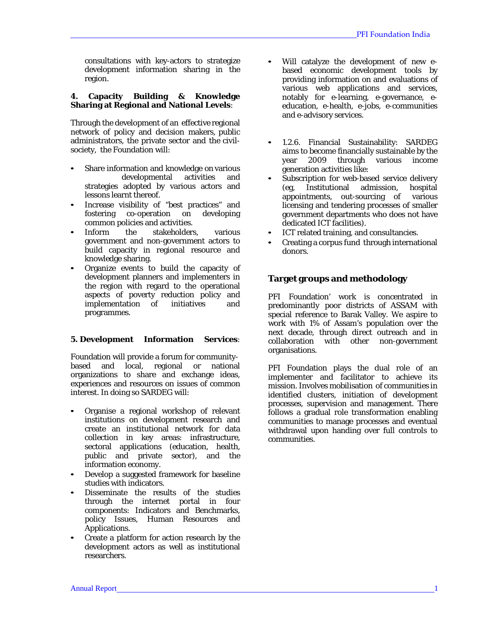consultations with key-actors to strategize development information sharing in the region.

#### **4. Capacity Building & Knowledge Sharing at Regional and National Levels**:

Through the development of an effective regional network of policy and decision makers, public administrators, the private sector and the civilsociety, the Foundation will:

- Share information and knowledge on various<br>developmental activities and developmental activities strategies adopted by various actors and lessons learnt thereof.
- Increase visibility of "best practices" and fostering co-operation on developing common policies and activities.
- Inform the stakeholders, various government and non-government actors to build capacity in regional resource and knowledge sharing.
- Organize events to build the capacity of development planners and implementers in the region with regard to the operational aspects of poverty reduction policy and implementation of initiatives programmes.

#### **5. Development Information Services**:

Foundation will provide a forum for communitybased and local, regional or national organizations to share and exchange ideas, experiences and resources on issues of common interest. In doing so SARDEG will:

- Organise a regional workshop of relevant institutions on development research and create an institutional network for data collection in key areas: infrastructure, sectoral applications (education, health, public and private sector), and the information economy.
- Develop a suggested framework for baseline studies with indicators.
- Disseminate the results of the studies through the internet portal in four components: Indicators and Benchmarks, policy Issues, Human Resources and Applications.
- Create a platform for action research by the development actors as well as institutional researchers.
- Will catalyze the development of new ebased economic development tools by providing information on and evaluations of various web applications and services, notably for e-learning, e-governance, eeducation, e-health, e-jobs, e-communities and e-advisory services.
- 1.2.6. Financial Sustainability: SARDEG aims to become financially sustainable by the year 2009 through various income generation activities like:
- Subscription for web-based service delivery (eg, Institutional admission, hospital appointments, out-sourcing of various licensing and tendering processes of smaller government departments who does not have dedicated ICT facilities).
- ICT related training, and consultancies.
- Creating a corpus fund through international donors.

# **Target groups and methodology**

PFI Foundation' work is concentrated in predominantly poor districts of ASSAM with special reference to Barak Valley. We aspire to work with 1% of Assam's population over the next decade, through direct outreach and in collaboration with other non-government organisations.

PFI Foundation plays the dual role of an implementer and facilitator to achieve its mission. Involves mobilisation of communities in identified clusters, initiation of development processes, supervision and management. There follows a gradual role transformation enabling communities to manage processes and eventual withdrawal upon handing over full controls to communities.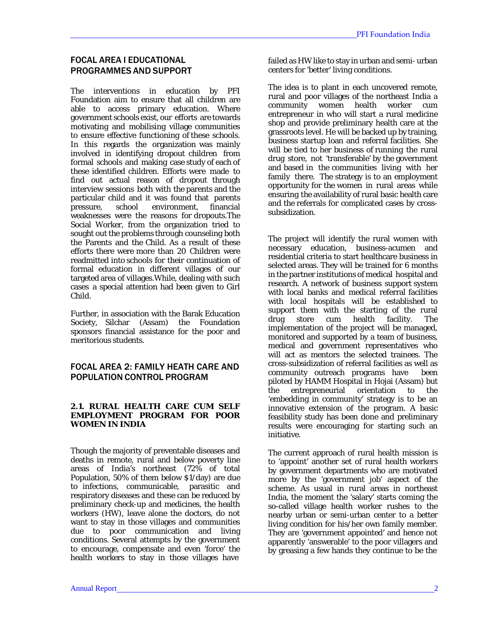#### FOCAL AREA I EDUCATIONAL PROGRAMMES AND SUPPORT

The interventions in education by PFI Foundation aim to ensure that all children are able to access primary education. Where government schools exist, our efforts are towards motivating and mobilising village communities to ensure effective functioning of these schools. In this regards the organization was mainly involved in identifying dropout children from formal schools and making case study of each of these identified children. Efforts were made to find out actual reason of dropout through interview sessions both with the parents and the particular child and it was found that parents<br>pressure. school environment. financial pressure, school environment, financial weaknesses were the reasons for dropouts.The Social Worker, from the organization tried to sought out the problems through counseling both the Parents and the Child. As a result of these efforts there were more than 20 Children were readmitted into schools for their continuation of formal education in different villages of our targeted area of villages.While, dealing with such cases a special attention had been given to Girl Child.

Further, in association with the Barak Education Society, Silchar (Assam) the Foundation sponsors financial assistance for the poor and meritorious students.

# FOCAL AREA 2: FAMILY HEATH CARE AND POPULATION CONTROL PROGRAM

#### **2.1. RURAL HEALTH CARE CUM SELF EMPLOYMENT PROGRAM FOR POOR WOMEN IN INDIA**

Though the majority of preventable diseases and deaths in remote, rural and below poverty line areas of India's northeast (72% of total Population, 50% of them below \$1/day) are due to infections, communicable, parasitic and respiratory diseases and these can be reduced by preliminary check-up and medicines, the health workers (HW), leave alone the doctors, do not want to stay in those villages and communities due to poor communication and living conditions. Several attempts by the government to encourage, compensate and even 'force' the health workers to stay in those villages have

failed as HW like to stay in urban and semi- urban centers for 'better' living conditions.

The idea is to plant in each uncovered remote, rural and poor villages of the northeast India a community women health worker cum entrepreneur in who will start a rural medicine shop and provide preliminary health care at the grassroots level. He will be backed up by training, business startup loan and referral facilities. She will be tied to her business of running the rural drug store, not 'transferable' by the government and based in the communities living with her family there. The strategy is to an employment opportunity for the women in rural areas while ensuring the availability of rural basic health care and the referrals for complicated cases by crosssubsidization.

The project will identify the rural women with necessary education, business-acumen and residential criteria to start healthcare business in selected areas. They will be trained for 6 months in the partner institutions of medical hospital and research. A network of business support system with local banks and medical referral facilities with local hospitals will be established to support them with the starting of the rural<br>drug store cum health facility. The facility. The implementation of the project will be managed, monitored and supported by a team of business, medical and government representatives who will act as mentors the selected trainees. The cross-subsidization of referral facilities as well as community outreach programs have been piloted by HAMM Hospital in Hojai (Assam) but the entrepreneurial orientation to the 'embedding in community' strategy is to be an innovative extension of the program. A basic feasibility study has been done and preliminary results were encouraging for starting such an initiative.

The current approach of rural health mission is to 'appoint' another set of rural health workers by government departments who are motivated more by the 'government job' aspect of the scheme. As usual in rural areas in northeast India, the moment the 'salary' starts coming the so-called village health worker rushes to the nearby urban or semi-urban center to a better living condition for his/her own family member. They are 'government appointed' and hence not apparently 'answerable' to the poor villagers and by greasing a few hands they continue to be the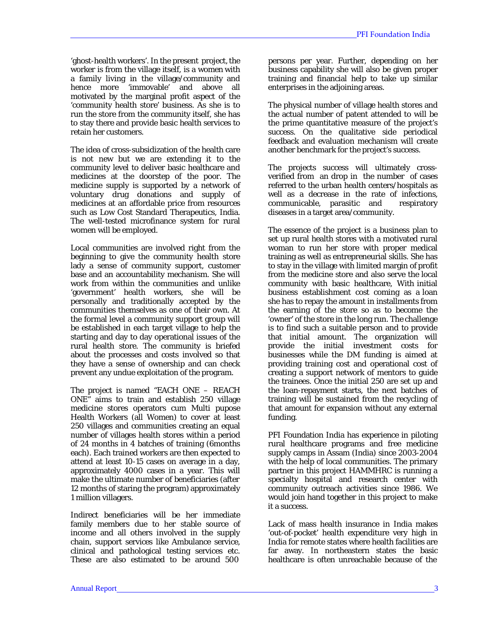'ghost-health workers'. In the present project, the worker is from the village itself, is a women with a family living in the village/community and<br>hence more 'immovable' and above all hence more 'immovable' and above all motivated by the marginal profit aspect of the 'community health store' business. As she is to run the store from the community itself, she has to stay there and provide basic health services to retain her customers.

The idea of cross-subsidization of the health care is not new but we are extending it to the community level to deliver basic healthcare and medicines at the doorstep of the poor. The medicine supply is supported by a network of voluntary drug donations and supply of medicines at an affordable price from resources such as Low Cost Standard Therapeutics, India. The well-tested microfinance system for rural women will be employed.

Local communities are involved right from the beginning to give the community health store lady a sense of community support, customer base and an accountability mechanism. She will work from within the communities and unlike 'government' health workers, she will be personally and traditionally accepted by the communities themselves as one of their own. At the formal level a community support group will be established in each target village to help the starting and day to day operational issues of the rural health store. The community is briefed about the processes and costs involved so that they have a sense of ownership and can check prevent any undue exploitation of the program.

The project is named "EACH ONE – REACH ONE" aims to train and establish 250 village medicine stores operators cum Multi pupose Health Workers (all Women) to cover at least 250 villages and communities creating an equal number of villages health stores within a period of 24 months in 4 batches of training (6months each). Each trained workers are then expected to attend at least 10-15 cases on average in a day, approximately 4000 cases in a year. This will make the ultimate number of beneficiaries (after 12 months of staring the program) approximately 1 million villagers.

Indirect beneficiaries will be her immediate family members due to her stable source of income and all others involved in the supply chain, support services like Ambulance service, clinical and pathological testing services etc. These are also estimated to be around 500

persons per year. Further, depending on her business capability she will also be given proper training and financial help to take up similar enterprises in the adjoining areas.

The physical number of village health stores and the actual number of patent attended to will be the prime quantitative measure of the project's success. On the qualitative side periodical feedback and evaluation mechanism will create another benchmark for the project's success.

The projects success will ultimately crossverified from an drop in the number of cases referred to the urban health centers/hospitals as well as a decrease in the rate of infections, communicable, parasitic and respiratory diseases in a target area/community.

The essence of the project is a business plan to set up rural health stores with a motivated rural woman to run her store with proper medical training as well as entrepreneurial skills. She has to stay in the village with limited margin of profit from the medicine store and also serve the local community with basic healthcare, With initial business establishment cost coming as a loan she has to repay the amount in installments from the earning of the store so as to become the 'owner' of the store in the long run. The challenge is to find such a suitable person and to provide that initial amount. The organization will provide the initial investment costs for businesses while the DM funding is aimed at providing training cost and operational cost of creating a support network of mentors to guide the trainees. Once the initial 250 are set up and the loan-repayment starts, the next batches of training will be sustained from the recycling of that amount for expansion without any external funding.

PFI Foundation India has experience in piloting rural healthcare programs and free medicine supply camps in Assam (India) since 2003-2004 with the help of local communities. The primary partner in this project HAMMHRC is running a specialty hospital and research center with community outreach activities since 1986. We would join hand together in this project to make it a success.

Lack of mass health insurance in India makes 'out-of-pocket' health expenditure very high in India for remote states where health facilities are far away. In northeastern states the basic healthcare is often unreachable because of the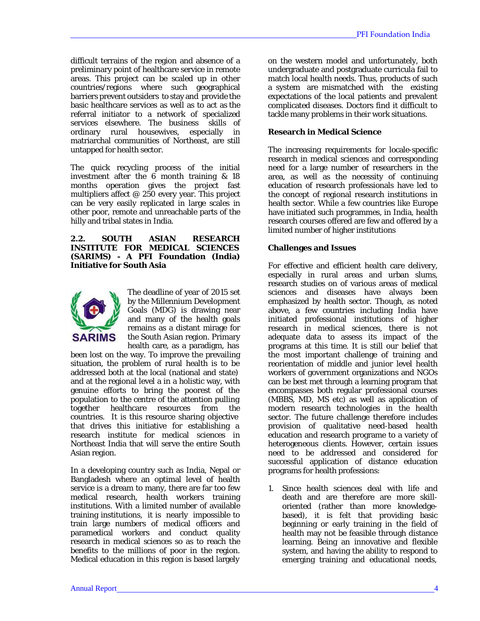difficult terrains of the region and absence of a preliminary point of healthcare service in remote areas. This project can be scaled up in other countries/regions where such geographical barriers prevent outsiders to stay and provide the basic healthcare services as well as to act as the referral initiator to a network of specialized services elsewhere. The business skills of ordinary rural housewives, especially in matriarchal communities of Northeast, are still untapped for health sector.

The quick recycling process of the initial investment after the 6 month training & 18 months operation gives the project fast multipliers affect @ 250 every year. This project can be very easily replicated in large scales in other poor, remote and unreachable parts of the hilly and tribal states in India.

**2.2. SOUTH ASIAN RESEARCH INSTITUTE FOR MEDICAL SCIENCES (SARIMS) - A PFI Foundation (India) Initiative for South Asia**



The deadline of year of 2015 set by the Millennium Development Goals (MDG) is drawing near and many of the health goals remains as a distant mirage for the South Asian region. Primary health care, as a paradigm, has

been lost on the way. To improve the prevailing situation, the problem of rural health is to be addressed both at the local (national and state) and at the regional level a in a holistic way, with genuine efforts to bring the poorest of the population to the centre of the attention pulling<br>together healthcare resources from the healthcare resources from the countries. It is this resource sharing objective that drives this initiative for establishing a research institute for medical sciences in Northeast India that will serve the entire South Asian region.

In a developing country such as India, Nepal or Bangladesh where an optimal level of health service is a dream to many, there are far too few medical research, health workers training institutions. With a limited number of available training institutions, it is nearly impossible to train large numbers of medical officers and paramedical workers and conduct quality research in medical sciences so as to reach the benefits to the millions of poor in the region. Medical education in this region is based largely

on the western model and unfortunately, both undergraduate and postgraduate curricula fail to match local health needs. Thus, products of such a system are mismatched with the existing expectations of the local patients and prevalent complicated diseases. Doctors find it difficult to tackle many problems in their work situations.

#### **Research in Medical Science**

The increasing requirements for locale-specific research in medical sciences and corresponding need for a large number of researchers in the area, as well as the necessity of continuing education of research professionals have led to the concept of regional research institutions in health sector. While a few countries like Europe have initiated such programmes, in India, health research courses offered are few and offered by a limited number of higher institutions

#### **Challenges and Issues**

For effective and efficient health care delivery, especially in rural areas and urban slums, research studies on of various areas of medical sciences and diseases have always been emphasized by health sector. Though, as noted above, a few countries including India have initiated professional institutions of higher research in medical sciences, there is not adequate data to assess its impact of the programs at this time. It is still our belief that the most important challenge of training and reorientation of middle and junior level health workers of government organizations and NGOs can be best met through a learning program that encompasses both regular professional courses (MBBS, MD, MS etc) as well as application of modern research technologies in the health sector. The future challenge therefore includes provision of qualitative need-based health education and research programe to a variety of heterogeneous clients. However, certain issues need to be addressed and considered for successful application of distance education programs for health professions:

1. Since health sciences deal with life and death and are therefore are more skilloriented (rather than more knowledgebased), it is felt that providing basic beginning or early training in the field of health may not be feasible through distance learning. Being an innovative and flexible system, and having the ability to respond to emerging training and educational needs,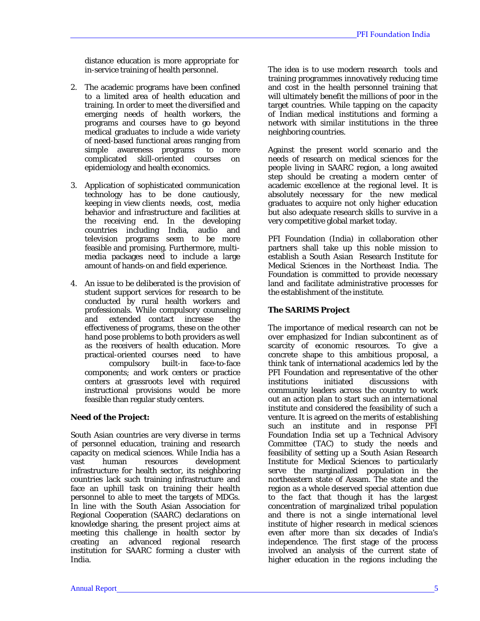distance education is more appropriate for in-service training of health personnel.

- 2. The academic programs have been confined to a limited area of health education and training. In order to meet the diversified and emerging needs of health workers, the programs and courses have to go beyond medical graduates to include a wide variety of need-based functional areas ranging from simple awareness programs to more complicated skill-oriented courses on epidemiology and health economics.
- 3. Application of sophisticated communication technology has to be done cautiously, keeping in view clients needs, cost, media behavior and infrastructure and facilities at the receiving end. In the developing countries including India, audio and television programs seem to be more feasible and promising. Furthermore, multimedia packages need to include a large amount of hands-on and field experience.
- 4. An issue to be deliberated is the provision of student support services for research to be conducted by rural health workers and professionals. While compulsory counseling and extended contact increase the effectiveness of programs, these on the other hand pose problems to both providers as well as the receivers of health education. More practical-oriented courses need to have compulsory built-in face-to-face components; and work centers or practice centers at grassroots level with required instructional provisions would be more feasible than regular study centers.

## **Need of the Project:**

South Asian countries are very diverse in terms of personnel education, training and research capacity on medical sciences. While India has a vast human resources development infrastructure for health sector, its neighboring countries lack such training infrastructure and face an uphill task on training their health personnel to able to meet the targets of MDGs. In line with the South Asian Association for Regional Cooperation (SAARC) declarations on knowledge sharing, the present project aims at meeting this challenge in health sector by creating an advanced regional research institution for SAARC forming a cluster with India.

The idea is to use modern research tools and training programmes innovatively reducing time and cost in the health personnel training that will ultimately benefit the millions of poor in the target countries. While tapping on the capacity of Indian medical institutions and forming a network with similar institutions in the three neighboring countries.

Against the present world scenario and the needs of research on medical sciences for the people living in SAARC region, a long awaited step should be creating a modern center of academic excellence at the regional level. It is absolutely necessary for the new medical graduates to acquire not only higher education but also adequate research skills to survive in a very competitive global market today.

PFI Foundation (India) in collaboration other partners shall take up this noble mission to establish a South Asian Research Institute for Medical Sciences in the Northeast India. The Foundation is committed to provide necessary land and facilitate administrative processes for the establishment of the institute.

## **The SARIMS Project**

The importance of medical research can not be over emphasized for Indian subcontinent as of scarcity of economic resources. To give a concrete shape to this ambitious proposal, a think tank of international academics led by the PFI Foundation and representative of the other<br>institutions initiated discussions with institutions initiated discussions with community leaders across the country to work out an action plan to start such an international institute and considered the feasibility of such a venture. It is agreed on the merits of establishing such an institute and in response PFI Foundation India set up a Technical Advisory Committee (TAC) to study the needs and feasibility of setting up a South Asian Research Institute for Medical Sciences to particularly serve the marginalized population in the northeastern state of Assam. The state and the region as a whole deserved special attention due to the fact that though it has the largest concentration of marginalized tribal population and there is not a single international level institute of higher research in medical sciences even after more than six decades of India's independence. The first stage of the process involved an analysis of the current state of higher education in the regions including the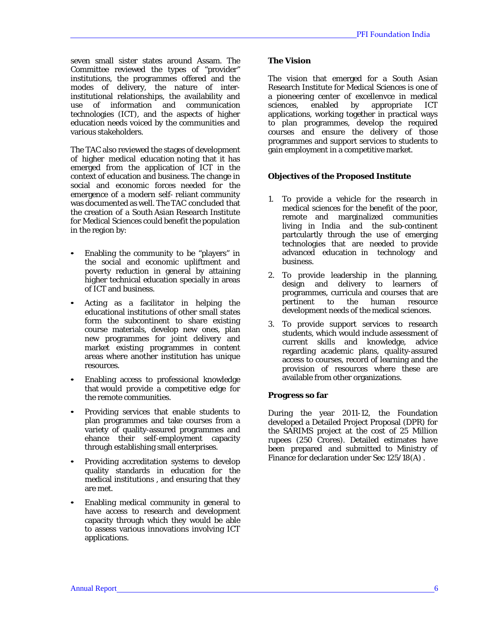seven small sister states around Assam. The Committee reviewed the types of "provider" institutions, the programmes offered and the modes of delivery, the nature of interinstitutional relationships, the availability and use of information and communication technologies (ICT), and the aspects of higher education needs voiced by the communities and various stakeholders.

The TAC also reviewed the stages of development of higher medical education noting that it has emerged from the application of ICT in the context of education and business. The change in social and economic forces needed for the emergence of a modern self- reliant community was documented as well. The TAC concluded that the creation of a South Asian Research Institute for Medical Sciences could benefit the population in the region by:

- Enabling the community to be "players" in the social and economic upliftment and poverty reduction in general by attaining higher technical education specially in areas of ICT and business.
- Acting as a facilitator in helping the educational institutions of other small states form the subcontinent to share existing course materials, develop new ones, plan new programmes for joint delivery and market existing programmes in content areas where another institution has unique resources.
- Enabling access to professional knowledge that would provide a competitive edge for the remote communities.
- Providing services that enable students to plan programmes and take courses from a variety of quality-assured programmes and ehance their self-employment capacity through establishing small enterprises.
- Providing accreditation systems to develop quality standards in education for the medical institutions , and ensuring that they are met.
- Enabling medical community in general to have access to research and development capacity through which they would be able to assess various innovations involving ICT applications.

#### **The Vision**

The vision that emerged for a South Asian Research Institute for Medical Sciences is one of a pioneering center of excellenvce in medical sciences, enabled by appropriate ICT applications, working together in practical ways to plan programmes, develop the required courses and ensure the delivery of those programmes and support services to students to gain employment in a competitive market.

## **Objectives of the Proposed Institute**

- 1. To provide a vehicle for the research in medical sciences for the benefit of the poor, remote and marginalized communities living in India and the sub-continent partculartly through the use of emerging technologies that are needed to provide advanced education in technology and business.
- 2. To provide leadership in the planning, design and delivery to learners of programmes, curricula and courses that are pertinent to the human resource development needs of the medical sciences.
- 3. To provide support services to research students, which would include assessment of current skills and knowledge, advice regarding academic plans, quality-assured access to courses, record of learning and the provision of resources where these are available from other organizations.

#### **Progress so far**

During the year 2011-12, the Foundation developed a Detailed Project Proposal (DPR) for the SARIMS project at the cost of 25 Million rupees (250 Crores). Detailed estimates have been prepared and submitted to Ministry of Finance for declaration under Sec 125/18(A) .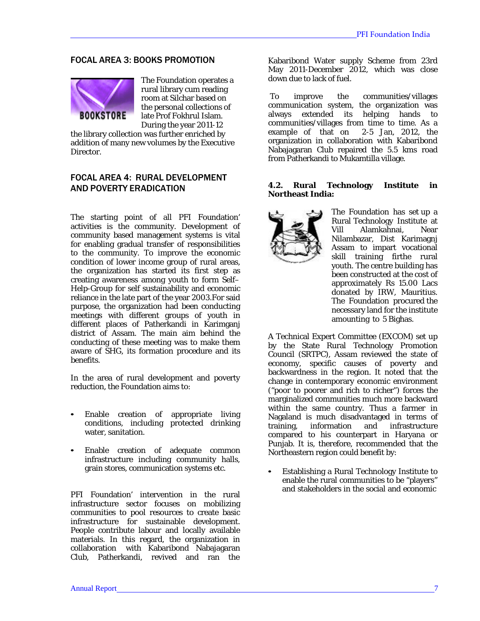# FOCAL AREA 3: BOOKS PROMOTION



The Foundation operates a rural library cum reading room at Silchar based on the personal collections of late Prof Fokhrul Islam. During the year 2011-12

the library collection was further enriched by addition of many new volumes by the Executive Director.

# FOCAL AREA 4: RURAL DEVELOPMENT AND POVERTY ERADICATION

The starting point of all PFI Foundation' activities is the community. Development of community based management systems is vital for enabling gradual transfer of responsibilities to the community. To improve the economic condition of lower income group of rural areas, the organization has started its first step as creating awareness among youth to form Self– Help-Group for self sustainability and economic reliance in the late part of the year 2003.For said purpose, the organization had been conducting meetings with different groups of youth in different places of Patherkandi in Karimganj district of Assam. The main aim behind the conducting of these meeting was to make them aware of SHG, its formation procedure and its benefits.

In the area of rural development and poverty reduction, the Foundation aims to:

- Enable creation of appropriate living conditions, including protected drinking water, sanitation.
- Enable creation of adequate common infrastructure including community halls, grain stores, communication systems etc.

PFI Foundation' intervention in the rural infrastructure sector focuses on mobilizing communities to pool resources to create basic infrastructure for sustainable development. People contribute labour and locally available materials. In this regard, the organization in collaboration with Kabaribond Nabajagaran Club, Patherkandi, revived and ran the

Kabaribond Water supply Scheme from 23rd May 2011-December 2012, which was close down due to lack of fuel.

To improve the communities/villages communication system, the organization was always extended its helping hands to communities/villages from time to time. As a example of that on 2-5 Jan, 2012, the organization in collaboration with Kabaribond Nabajagaran Club repaired the 5.5 kms road from Patherkandi to Mukamtilla village.

#### **4.2. Rural Technology Institute in Northeast India:**



The Foundation has set up a Rural Technology Institute at Vill Alamkahnai, Near Nilambazar, Dist Karimagnj Assam to impart vocational skill training firthe rural youth. The centre building has been constructed at the cost of approximately Rs 15.00 Lacs donated by IRW, Mauritius. The Foundation procured the necessary land for the institute amounting to 5 Bighas.

A Technical Expert Committee (EXCOM) set up by the State Rural Technology Promotion Council (SRTPC), Assam reviewed the state of economy, specific causes of poverty and backwardness in the region. It noted that the change in contemporary economic environment ("poor to poorer and rich to richer") forces the marginalized communities much more backward within the same country. Thus a farmer in Nagaland is much disadvantaged in terms of training, information and infrastructure compared to his counterpart in Haryana or Punjab. It is, therefore, recommended that the Northeastern region could benefit by:

• Establishing a Rural Technology Institute to enable the rural communities to be "players" and stakeholders in the social and economic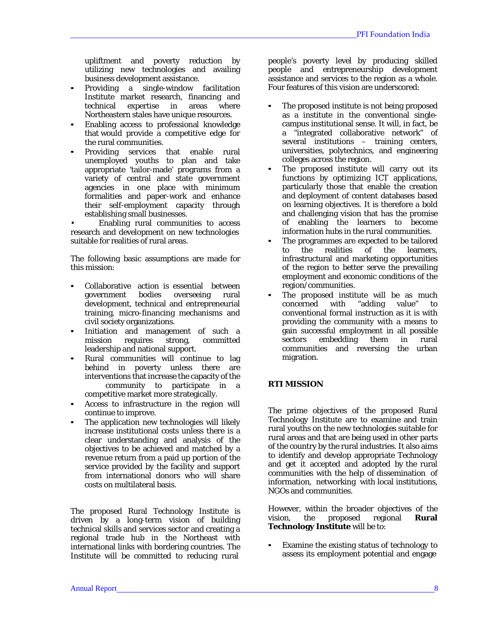upliftment and poverty reduction by utilizing new technologies and availing business development assistance.

- Providing a single-window facilitation Institute market research, financing and technical expertise in areas where Northeastern stales have unique resources.
- Enabling access to professional knowledge that would provide a competitive edge for the rural communities.
- Providing services that enable rural unemployed youths to plan and take appropriate 'tailor-made' programs from a variety of central and state government agencies in one place with minimum formalities and paper-work and enhance their self-employment capacity through establishing small businesses.

• Enabling rural communities to access research and development on new technologies suitable for realities of rural areas.

The following basic assumptions are made for this mission:

- Collaborative action is essential between government bodies overseeing development, technical and entrepreneurial training, micro-financing mechanisms and civil society organizations.
- Initiation and management of such a<br>mission requires strong, committed committed leadership and national support.
- Rural communities will continue to lag behind in poverty unless there are interventions that increase the capacity of the community to participate in a competitive market more strategically.
- Access to infrastructure in the region will continue to improve.
- The application new technologies will likely increase institutional costs unless there is a clear understanding and analysis of the objectives to be achieved and matched by a revenue return from a paid up portion of the service provided by the facility and support from international donors who will share costs on multilateral basis.

The proposed Rural Technology Institute is driven by a long-term vision of building technical skills and services sector and creating a regional trade hub in the Northeast with international links with bordering countries. The Institute will be committed to reducing rural

people's poverty level by producing skilled people and entrepreneurship development assistance and services to the region as a whole. Four features of this vision are underscored:

- The proposed institute is not being proposed as a institute in the conventional singlecampus institutional sense. It will, in fact, be a "integrated collaborative network" of several institutions – training centers, universities, polytechnics, and engineering colleges across the region.
- The proposed institute will carry out its functions by optimizing ICT applications, particularly those that enable the creation and deployment of content databases based on learning objectives. It is therefore a bold and challenging vision that has the promise of enabling the learners to become information hubs in the rural communities.
- The programmes are expected to be tailored<br>to the realities of the learners learners infrastructural and marketing opportunities of the region to better serve the prevailing employment and economic conditions of the region/communities.
- The proposed institute will be as much<br>concerned with "adding value" to concerned with "adding value" to conventional formal instruction as it is with providing the community with a means to gain successful employment in all possible sectors embedding them in rural communities and reversing the urban migration.

# **RTI MISSION**

The prime objectives of the proposed Rural Technology Institute are to examine and train rural youths on the new technologies suitable for rural areas and that are being used in other parts of the country by the rural industries. It also aims to identify and develop appropriate Technology and get it accepted and adopted by the rural communities with the help of dissemination of information, networking with local institutions, NGOs and communities.

However, within the broader objectives of the<br>vision, the proposed regional **Rural** vision, the proposed **Technology Institute** will be to:

• Examine the existing status of technology to assess its employment potential and engage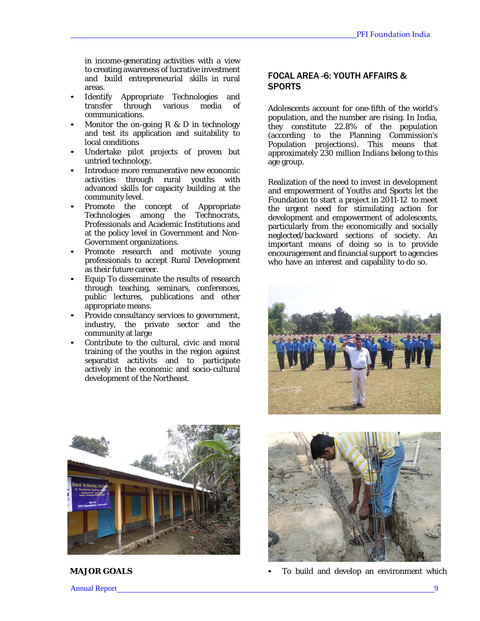in income-generating activities with a view to creating awareness of lucrative investment and build entrepreneurial skills in rural areas.

- Identify Appropriate Technologies and transfer through various media of communications.
- Monitor the on-going  $R \& D$  in technology and test its application and suitability to local conditions
- Undertake pilot projects of proven but untried technology.
- Introduce more remunerative new economic activities through rural youths with advanced skills for capacity building at the community level.
- Promote the concept of Appropriate Technologies among the Technocrats, Professionals and Academic Institutions and at the policy level in Government and Non-Government organizations.
- Promote research and motivate young professionals to accept Rural Development as their future career.
- Equip To disseminate the results of research through teaching, seminars, conferences, public lectures, publications and other appropriate means.
- Provide consultancy services to government, industry, the private sector and the community at large
- Contribute to the cultural, civic and moral training of the youths in the region against separatist actitivits and to participate actively in the economic and socio-cultural development of the Northeast.

# FOCAL AREA -6: YOUTH AFFAIRS & **SPORTS**

Adolescents account for one-fifth of the world's population, and the number are rising. In India, they constitute 22.8% of the population (according to the Planning Commission's Population projections). This means that approximately 230 million Indians belong to this age group.

Realization of the need to invest in development and empowerment of Youths and Sports let the Foundation to start a project in 2011-12 to meet the urgent need for stimulating action for development and empowerment of adolescents, particularly from the economically and socially neglected/backward sections of society. An important means of doing so is to provide encouragement and financial support to agencies who have an interest and capability to do so.







**MAJOR GOALS** • To build and develop an environment which

Annual Report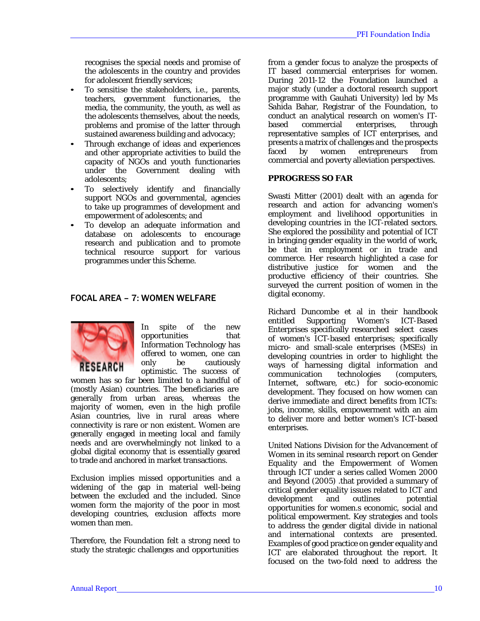recognises the special needs and promise of the adolescents in the country and provides for adolescent friendly services;

- To sensitise the stakeholders, i.e., parents, teachers, government functionaries, the media, the community, the youth, as well as the adolescents themselves, about the needs, problems and promise of the latter through sustained awareness building and advocacy;
- Through exchange of ideas and experiences and other appropriate activities to build the capacity of NGOs and youth functionaries under the Government dealing with adolescents;
- To selectively identify and financially support NGOs and governmental, agencies to take up programmes of development and empowerment of adolescents; and
- To develop an adequate information and database on adolescents to encourage research and publication and to promote technical resource support for various programmes under this Scheme.

## FOCAL AREA – 7: WOMEN WELFARE



In spite of the new opportunities that Information Technology has offered to women, one can<br>only be cautiously be cautiously optimistic. The success of

women has so far been limited to a handful of (mostly Asian) countries. The beneficiaries are generally from urban areas, whereas the majority of women, even in the high profile Asian countries, live in rural areas where connectivity is rare or non existent. Women are generally engaged in meeting local and family needs and are overwhelmingly not linked to a global digital economy that is essentially geared to trade and anchored in market transactions.

Exclusion implies missed opportunities and a widening of the gap in material well-being between the excluded and the included. Since women form the majority of the poor in most developing countries, exclusion affects more women than men.

Therefore, the Foundation felt a strong need to study the strategic challenges and opportunities

from a gender focus to analyze the prospects of IT based commercial enterprises for women. During 2011-12 the Foundation launched a major study (under a doctoral research support programme with Gauhati University) led by Ms Sahida Bahar, Registrar of the Foundation, to conduct an analytical research on women's ITbased commercial enterprises, through representative samples of ICT enterprises, and presents a matrix of challenges and the prospects<br>faced by women entrepreneurs from faced by women entrepreneurs commercial and poverty alleviation perspectives.

#### **PPROGRESS SO FAR**

Swasti Mitter (2001) dealt with an agenda for research and action for advancing women's employment and livelihood opportunities in developing countries in the ICT-related sectors. She explored the possibility and potential of ICT in bringing gender equality in the world of work, be that in employment or in trade and commerce. Her research highlighted a case for distributive justice for women and the productive efficiency of their countries. She surveyed the current position of women in the digital economy.

Richard Duncombe et al in their handbook entitled Supporting Women's ICT-Based Enterprises specifically researched select cases of women's ICT-based enterprises; specifically micro- and small-scale enterprises (MSEs) in developing countries in order to highlight the ways of harnessing digital information and<br>communication technologies (computers, communication Internet, software, etc.) for socio-economic development. They focused on how women can derive immediate and direct benefits from ICTs: jobs, income, skills, empowerment with an aim to deliver more and better women's ICT-based enterprises.

United Nations Division for the Advancement of Women in its seminal research report on Gender Equality and the Empowerment of Women through ICT under a series called Women 2000 and Beyond (2005) .that provided a summary of critical gender equality issues related to ICT and development and outlines botential opportunities for women.s economic, social and political empowerment. Key strategies and tools to address the gender digital divide in national and international contexts are presented. Examples of good practice on gender equality and ICT are elaborated throughout the report. It focused on the two-fold need to address the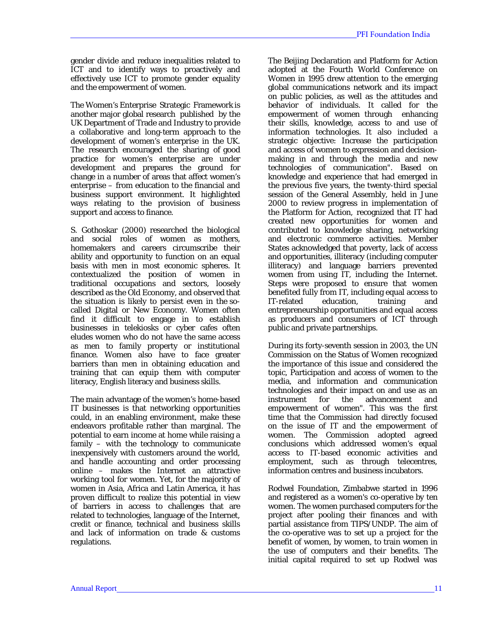gender divide and reduce inequalities related to ICT and to identify ways to proactively and effectively use ICT to promote gender equality and the empowerment of women.

The Women's Enterprise Strategic Framework is another major global research published by the UK Department of Trade and Industry to provide a collaborative and long-term approach to the development of women's enterprise in the UK. The research encouraged the sharing of good practice for women's enterprise are under development and prepares the ground for change in a number of areas that affect women's enterprise – from education to the financial and business support environment. It highlighted ways relating to the provision of business support and access to finance.

S. Gothoskar (2000) researched the biological and social roles of women as mothers, homemakers and careers circumscribe their ability and opportunity to function on an equal basis with men in most economic spheres. It contextualized the position of women in traditional occupations and sectors, loosely described as the Old Economy, and observed that the situation is likely to persist even in the socalled Digital or New Economy. Women often find it difficult to engage in to establish businesses in telekiosks or cyber cafes often eludes women who do not have the same access as men to family property or institutional finance. Women also have to face greater barriers than men in obtaining education and training that can equip them with computer literacy, English literacy and business skills.

The main advantage of the women's home-based IT businesses is that networking opportunities could, in an enabling environment, make these endeavors profitable rather than marginal. The potential to earn income at home while raising a family – with the technology to communicate inexpensively with customers around the world, and handle accounting and order processing online – makes the Internet an attractive working tool for women. Yet, for the majority of women in Asia, Africa and Latin America, it has proven difficult to realize this potential in view of barriers in access to challenges that are related to technologies, language of the Internet, credit or finance, technical and business skills and lack of information on trade & customs regulations.

The Beijing Declaration and Platform for Action adopted at the Fourth World Conference on Women in 1995 drew attention to the emerging global communications network and its impact on public policies, as well as the attitudes and behavior of individuals. It called for the empowerment of women through enhancing their skills, knowledge, access to and use of information technologies. It also included a strategic objective: Increase the participation and access of women to expression and decisionmaking in and through the media and new technologies of communication". Based on knowledge and experience that had emerged in the previous five years, the twenty-third special session of the General Assembly, held in June 2000 to review progress in implementation of the Platform for Action, recognized that IT had created new opportunities for women and contributed to knowledge sharing, networking and electronic commerce activities. Member States acknowledged that poverty, lack of access and opportunities, illiteracy (including computer illiteracy) and language barriers prevented women from using IT, including the Internet. Steps were proposed to ensure that women benefited fully from IT, including equal access to<br>IT-related education, training and education, training and entrepreneurship opportunities and equal access as producers and consumers of ICT through public and private partnerships.

During its forty-seventh session in 2003, the UN Commission on the Status of Women recognized the importance of this issue and considered the topic, Participation and access of women to the media, and information and communication technologies and their impact on and use as an instrument for the advancement and empowerment of women". This was the first time that the Commission had directly focused on the issue of IT and the empowerment of women. The Commission adopted agreed conclusions which addressed women's equal access to IT-based economic activities and employment, such as through telecentres, information centres and business incubators.

Rodwel Foundation, Zimbabwe started in 1996 and registered as a women's co-operative by ten women. The women purchased computers for the project after pooling their finances and with partial assistance from TIPS/UNDP. The aim of the co-operative was to set up a project for the benefit of women, by women, to train women in the use of computers and their benefits. The initial capital required to set up Rodwel was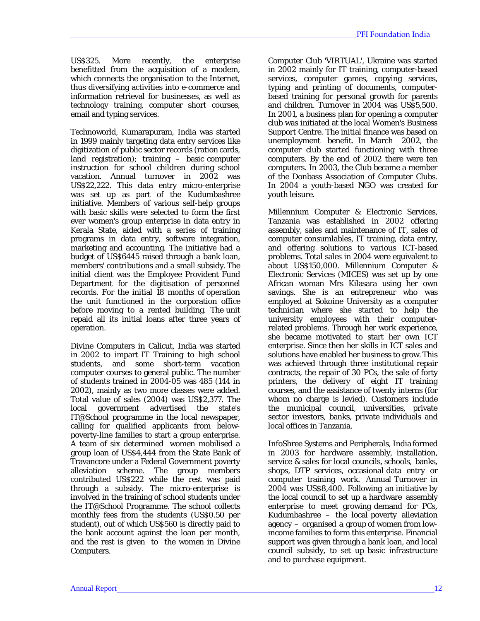US\$325. More recently, the enterprise benefitted from the acquisition of a modem, which connects the organisation to the Internet, thus diversifying activities into e-commerce and information retrieval for businesses, as well as technology training, computer short courses, email and typing services.

Technoworld, Kumarapuram, India was started in 1999 mainly targeting data entry services like digitization of public sector records (ration cards, land registration); training – basic computer instruction for school children during school vacation. Annual turnover in 2002 was US\$22,222. This data entry micro-enterprise was set up as part of the Kudumbashree initiative. Members of various self-help groups with basic skills were selected to form the first ever women's group enterprise in data entry in Kerala State, aided with a series of training programs in data entry, software integration, marketing and accounting. The initiative had a budget of US\$6445 raised through a bank loan, members' contributions and a small subsidy. The initial client was the Employee Provident Fund Department for the digitisation of personnel records. For the initial 18 months of operation the unit functioned in the corporation office before moving to a rented building. The unit repaid all its initial loans after three years of operation.

Divine Computers in Calicut, India was started in 2002 to impart IT Training to high school students, and some short-term vacation computer courses to general public. The number of students trained in 2004-05 was 485 (144 in 2002), mainly as two more classes were added. Total value of sales (2004) was US\$2,377. The local government advertised the state's IT@School programme in the local newspaper, calling for qualified applicants from belowpoverty-line families to start a group enterprise. A team of six determined women mobilised a group loan of US\$4,444 from the State Bank of Travancore under a Federal Government poverty alleviation scheme. The group members contributed US\$222 while the rest was paid through a subsidy. The micro-enterprise is involved in the training of school students under the IT@School Programme. The school collects monthly fees from the students (US\$0.50 per student), out of which US\$560 is directly paid to the bank account against the loan per month, and the rest is given to the women in Divine Computers.

Computer Club 'VIRTUAL', Ukraine was started in 2002 mainly for IT training, computer-based services, computer games, copying services, typing and printing of documents, computerbased training for personal growth for parents and children. Turnover in 2004 was US\$5,500. In 2001, a business plan for opening a computer club was initiated at the local Women's Business Support Centre. The initial finance was based on unemployment benefit. In March 2002, the computer club started functioning with three computers. By the end of 2002 there were ten computers. In 2003, the Club became a member of the Donbass Association of Computer Clubs. In 2004 a youth-based NGO was created for youth leisure.

Millennium Computer & Electronic Services, Tanzania was established in 2002 offering assembly, sales and maintenance of IT, sales of computer consumlables, IT training, data entry, and offering solutions to various ICT-based problems. Total sales in 2004 were equivalent to about US\$150,000. Millennium Computer & Electronic Services (MICES) was set up by one African woman Mrs Kilasara using her own savings. She is an entrepreneur who was employed at Sokoine University as a computer technician where she started to help the university employees with their computerrelated problems. Through her work experience, she became motivated to start her own ICT enterprise. Since then her skills in ICT sales and solutions have enabled her business to grow. This was achieved through three institutional repair contracts, the repair of 30 PCs, the sale of forty printers, the delivery of eight IT training courses, and the assistance of twenty interns (for whom no charge is levied). Customers include the municipal council, universities, private sector investors, banks, private individuals and local offices in Tanzania.

InfoShree Systems and Peripherals, India formed in 2003 for hardware assembly, installation, service & sales for local councils, schools, banks, shops, DTP services, occasional data entry or computer training work. Annual Turnover in 2004 was US\$8,400. Following an initiative by the local council to set up a hardware assembly enterprise to meet growing demand for PCs, Kudumbashree – the local poverty alleviation agency – organised a group of women from lowincome families to form this enterprise. Financial support was given through a bank loan, and local council subsidy, to set up basic infrastructure and to purchase equipment.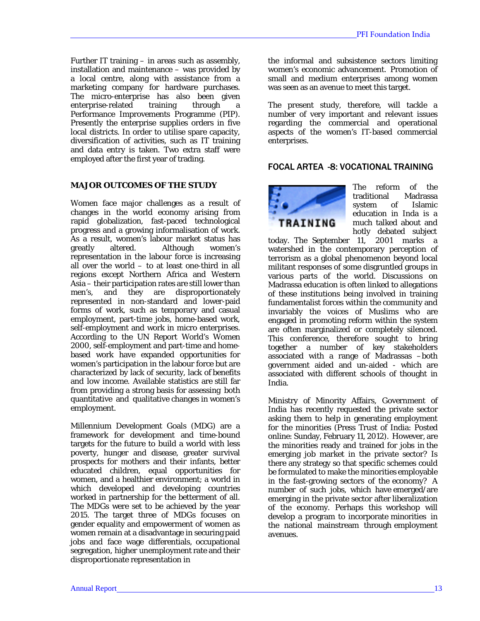Further IT training – in areas such as assembly, installation and maintenance  $-$  was provided by a local centre, along with assistance from a marketing company for hardware purchases. The micro-enterprise has also been given enterprise-related training through Performance Improvements Programme (PIP). Presently the enterprise supplies orders in five local districts. In order to utilise spare capacity, diversification of activities, such as IT training and data entry is taken. Two extra staff were employed after the first year of trading.

#### **MAJOR OUTCOMES OF THE STUDY**

Women face major challenges as a result of changes in the world economy arising from rapid globalization, fast-paced technological progress and a growing informalisation of work. As a result, women's labour market status has Although women's representation in the labour force is increasing all over the world – to at least one-third in all regions except Northern Africa and Western Asia – their participation rates are still lower than men's, and they are disproportionately represented in non-standard and lower-paid forms of work, such as temporary and casual employment, part-time jobs, home-based work, self-employment and work in micro enterprises. According to the UN Report World's Women 2000, self-employment and part-time and homebased work have expanded opportunities for women's participation in the labour force but are characterized by lack of security, lack of benefits and low income. Available statistics are still far from providing a strong basis for assessing both quantitative and qualitative changes in women's employment.

Millennium Development Goals (MDG) are a framework for development and time-bound targets for the future to build a world with less poverty, hunger and disease, greater survival prospects for mothers and their infants, better educated children, equal opportunities for women, and a healthier environment; a world in which developed and developing countries worked in partnership for the betterment of all. The MDGs were set to be achieved by the year 2015. The target three of MDGs focuses on gender equality and empowerment of women as women remain at a disadvantage in securing paid jobs and face wage differentials, occupational segregation, higher unemployment rate and their disproportionate representation in

the informal and subsistence sectors limiting women's economic advancement. Promotion of small and medium enterprises among women was seen as an avenue to meet this target.

The present study, therefore, will tackle a number of very important and relevant issues regarding the commercial and operational aspects of the women's IT-based commercial enterprises.

## FOCAL ARTEA -8: VOCATIONAL TRAINING



The reform of the traditional Madrassa system of Islamic education in Inda is a much talked about and hotly debated subject

today. The September 11, 2001 marks a watershed in the contemporary perception of terrorism as a global phenomenon beyond local militant responses of some disgruntled groups in various parts of the world. Discussions on Madrassa education is often linked to allegations of these institutions being involved in training fundamentalist forces within the community and invariably the voices of Muslims who are engaged in promoting reform within the system are often marginalized or completely silenced. This conference, therefore sought to bring together a number of key stakeholders associated with a range of Madrassas –both government aided and un-aided - which are associated with different schools of thought in India.

Ministry of Minority Affairs, Government of India has recently requested the private sector asking them to help in generating employment for the minorities (Press Trust of India: Posted online: Sunday, February 11, 2012). However, are the minorities ready and trained for jobs in the emerging job market in the private sector? Is there any strategy so that specific schemes could be formulated to make the minorities employable in the fast-growing sectors of the economy? A number of such jobs, which have emerged/are emerging in the private sector after liberalization of the economy. Perhaps this workshop will develop a program to incorporate minorities in the national mainstream through employment avenues.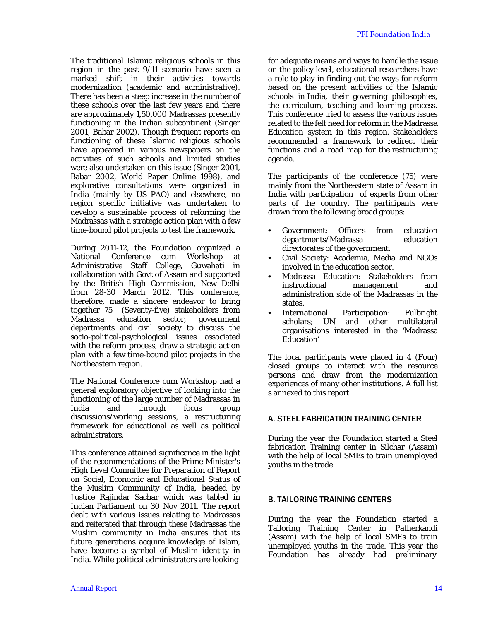The traditional Islamic religious schools in this region in the post 9/11 scenario have seen a marked shift in their activities towards modernization (academic and administrative). There has been a steep increase in the number of these schools over the last few years and there are approximately 1,50,000 Madrassas presently functioning in the Indian subcontinent (Singer 2001, Babar 2002). Though frequent reports on functioning of these Islamic religious schools have appeared in various newspapers on the activities of such schools and limited studies were also undertaken on this issue (Singer 2001, Babar 2002, World Paper Online 1998), and explorative consultations were organized in India (mainly by US PAO) and elsewhere, no region specific initiative was undertaken to develop a sustainable process of reforming the Madrassas with a strategic action plan with a few time-bound pilot projects to test the framework.

During 2011-12, the Foundation organized a National Conference cum Workshop at Administrative Staff College, Guwahati in collaboration with Govt of Assam and supported by the British High Commission, New Delhi from 28-30 March 2012. This conference, therefore, made a sincere endeavor to bring together 75 (Seventy-five) stakeholders from government departments and civil society to discuss the socio-political-psychological issues associated with the reform process, draw a strategic action plan with a few time-bound pilot projects in the Northeastern region.

The National Conference cum Workshop had a general exploratory objective of looking into the functioning of the large number of Madrassas in India and through focus group discussions/working sessions, a restructuring framework for educational as well as political administrators.

This conference attained significance in the light of the recommendations of the Prime Minister's High Level Committee for Preparation of Report on Social, Economic and Educational Status of the Muslim Community of India, headed by Justice Rajindar Sachar which was tabled in Indian Parliament on 30 Nov 2011. The report dealt with various issues relating to Madrassas and reiterated that through these Madrassas the Muslim community in India ensures that its future generations acquire knowledge of Islam, have become a symbol of Muslim identity in India. While political administrators are looking

for adequate means and ways to handle the issue on the policy level, educational researchers have a role to play in finding out the ways for reform based on the present activities of the Islamic schools in India, their governing philosophies, the curriculum, teaching and learning process. This conference tried to assess the various issues related to the felt need for reform in the Madrassa Education system in this region. Stakeholders recommended a framework to redirect their functions and a road map for the restructuring agenda.

The participants of the conference (75) were mainly from the Northeastern state of Assam in India with participation of experts from other parts of the country. The participants were drawn from the following broad groups:

- Government: Officers from education departments/Madrassa education directorates of the government.
- Civil Society: Academia, Media and NGOs involved in the education sector.
- Madrassa Education: Stakeholders from instructional management and administration side of the Madrassas in the states.
- International Participation: Fulbright scholars; UN and other multilateral organisations interested in the 'Madrassa Education'

The local participants were placed in 4 (Four) closed groups to interact with the resource persons and draw from the modernization experiences of many other institutions. A full list s annexed to this report.

## A. STEEL FABRICATION TRAINING CENTER

During the year the Foundation started a Steel fabrication Training center in Silchar (Assam) with the help of local SMEs to train unemployed youths in the trade.

## B. TAILORING TRAINING CENTERS

During the year the Foundation started a Tailoring Training Center in Patherkandi (Assam) with the help of local SMEs to train unemployed youths in the trade. This year the Foundation has already had preliminary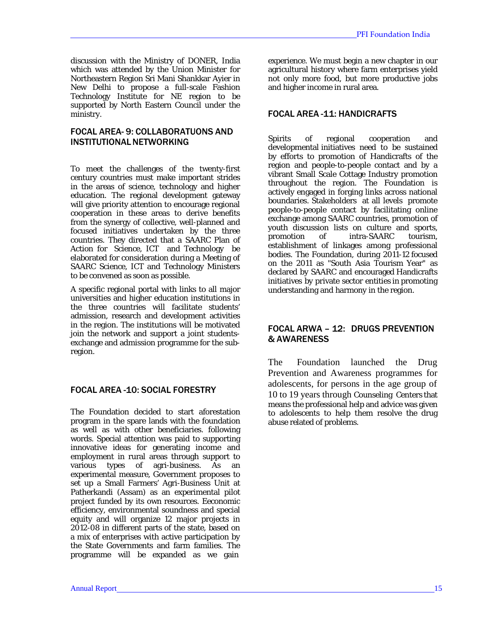discussion with the Ministry of DONER, India which was attended by the Union Minister for Northeastern Region Sri Mani Shankkar Ayier in New Delhi to propose a full-scale Fashion Technology Institute for NE region to be supported by North Eastern Council under the ministry.

# FOCAL AREA- 9: COLLABORATUONS AND INSTITUTIONALNETWORKING

To meet the challenges of the twenty-first century countries must make important strides in the areas of science, technology and higher education. The regional development gateway will give priority attention to encourage regional cooperation in these areas to derive benefits from the synergy of collective, well-planned and focused initiatives undertaken by the three countries. They directed that a SAARC Plan of Action for Science, ICT and Technology be elaborated for consideration during a Meeting of SAARC Science, ICT and Technology Ministers to be convened as soon as possible.

A specific regional portal with links to all major universities and higher education institutions in the three countries will facilitate students' admission, research and development activities in the region. The institutions will be motivated join the network and support a joint studentsexchange and admission programme for the subregion.

## FOCAL AREA -10: SOCIAL FORESTRY

The Foundation decided to start aforestation program in the spare lands with the foundation as well as with other beneficiaries. following words. Special attention was paid to supporting innovative ideas for generating income and employment in rural areas through support to<br>various types of agri-business. As an various types of agri-business. As an experimental measure, Government proposes to set up a Small Farmers' Agri-Business Unit at Patherkandi (Assam) as an experimental pilot project funded by its own resources. Eeconomic efficiency, environmental soundness and special equity and will organize 12 major projects in 2012-08 in different parts of the state, based on a mix of enterprises with active participation by the State Governments and farm families. The programme will be expanded as we gain

experience. We must begin a new chapter in our agricultural history where farm enterprises yield not only more food, but more productive jobs and higher income in rural area.

# FOCAL AREA -11: HANDICRAFTS

Spirits of regional cooperation and developmental initiatives need to be sustained by efforts to promotion of Handicrafts of the region and people-to-people contact and by a vibrant Small Scale Cottage Industry promotion throughout the region. The Foundation is actively engaged in forging links across national boundaries. Stakeholders at all levels promote people-to-people contact by facilitating online exchange among SAARC countries, promotion of youth discussion lists on culture and sports, promotion of intra-SAARC tourism, establishment of linkages among professional bodies. The Foundation, during 2011-12 focused on the 2011 as "South Asia Tourism Year" as declared by SAARC and encouraged Handicrafts initiatives by private sector entities in promoting understanding and harmony in the region.

# FOCAL ARWA – 12: DRUGS PREVENTION & AWARENESS

The Foundation launched the Drug Prevention and Awareness programmes for adolescents, for persons in the age group of 10 to 19 years through Counseling Centers that means the professional help and advice was given to adolescents to help them resolve the drug abuse related of problems.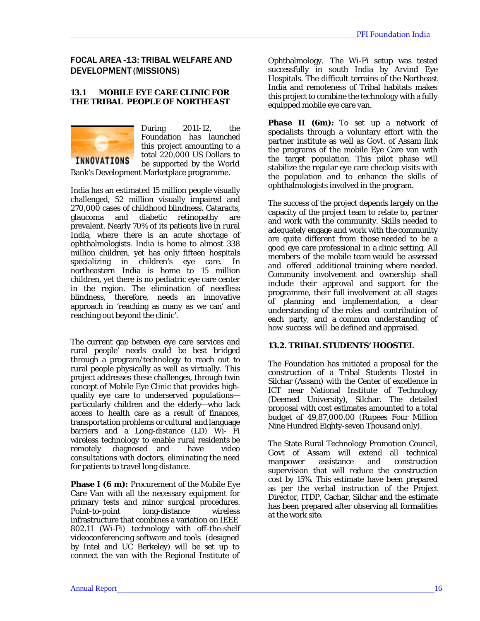# FOCAL AREA -13: TRIBAL WELFARE AND DEVELOPMENT (MISSIONS)

#### **13.1 MOBILE EYE CARE CLINIC FOR THE TRIBAL PEOPLE OF NORTHEAST**



During 2011-12, the Foundation has launched this project amounting to a total 220,000 US Dollars to be supported by the World

Bank's Development Marketplace programme.

India has an estimated 15 million people visually challenged, 52 million visually impaired and 270,000 cases of childhood blindness. Cataracts, glaucoma and diabetic retinopathy are prevalent. Nearly 70% of its patients live in rural India, where there is an acute shortage of ophthalmologists. India is home to almost 338 million children, yet has only fifteen hospitals specializing in children's eye care. In northeastern India is home to 15 million children, yet there is no pediatric eye care center in the region. The elimination of needless blindness, therefore, needs an innovative approach in 'reaching as many as we can' and reaching out beyond the clinic'.

The current gap between eye care services and rural people' needs could be best bridged through a program/technology to reach out to rural people physically as well as virtually. This project addresses these challenges, through twin concept of Mobile Eye Clinic that provides highquality eye care to underserved populations particularly children and the elderly—who lack access to health care as a result of finances, transportation problems or cultural and language barriers and a Long-distance (LD) Wi- Fi wireless technology to enable rural residents be remotely diagnosed and have video consultations with doctors, eliminating the need for patients to travel long distance.

**Phase I (6 m):** Procurement of the Mobile Eye Care Van with all the necessary equipment for primary tests and minor surgical procedures. Point-to-point long-distance wireless infrastructure that combines a variation on IEEE 802.11 (Wi-Fi) technology with off-the-shelf videoconferencing software and tools (designed by Intel and UC Berkeley) will be set up to connect the van with the Regional Institute of

Ophthalmology. The Wi-Fi setup was tested successfully in south India by Arvind Eye Hospitals. The difficult terrains of the Northeast India and remoteness of Tribal habitats makes this project to combine the technology with a fully equipped mobile eye care van.

**Phase II (6m):** To set up a network of specialists through a voluntary effort with the partner institute as well as Govt. of Assam link the programs of the mobile Eye Care van with the target population. This pilot phase will stabilize the regular eye care checkup visits with the population and to enhance the skills of ophthalmologists involved in the program.

The success of the project depends largely on the capacity of the project team to relate to, partner and work with the community. Skills needed to adequately engage and work with the community are quite different from those needed to be a good eye care professional in a clinic setting. All members of the mobile team would be assessed and offered additional training where needed. Community involvement and ownership shall include their approval and support for the programme, their full involvement at all stages of planning and implementation, a clear understanding of the roles and contribution of each party, and a common understanding of how success will be defined and appraised.

#### **13.2. TRIBAL STUDENTS' HOOSTEL**

The Foundation has initiated a proposal for the construction of a Tribal Students Hostel in Silchar (Assam) with the Center of excellence in ICT near National Institute of Technology (Deemed University), Silchar. The detailed proposal with cost estimates amounted to a total budget of 49,87,000.00 (Rupees Four Million Nine Hundred Eighty-seven Thousand only).

The State Rural Technology Promotion Council, Govt of Assam will extend all technical manpower assistance and construction supervision that will reduce the construction cost by 15%. This estimate have been prepared as per the verbal instruction of the Project Director, ITDP, Cachar, Silchar and the estimate has been prepared after observing all formalities at the work site.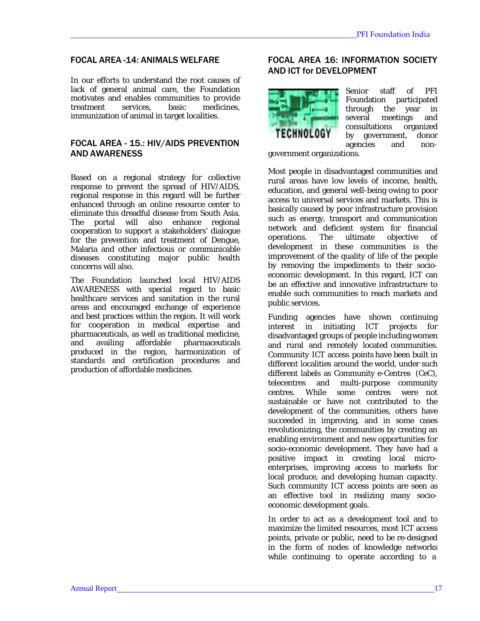# FOCAL AREA -14: ANIMALS WELFARE

In our efforts to understand the root causes of lack of general animal care, the Foundation motivates and enables communities to provide treatment services, basic medicines, immunization of animal in target localities.

#### FOCAL AREA - 15.: HIV/AIDS PREVENTION AND AWARENESS

Based on a regional strategy for collective response to prevent the spread of HIV/AIDS, regional response in this regard will be further enhanced through an online resource center to eliminate this dreadful disease from South Asia. The portal will also enhance regional cooperation to support a stakeholders' dialogue for the prevention and treatment of Dengue, Malaria and other infectious or communicable diseases constituting major public health concerns will also.

The Foundation launched local HIV/AIDS AWARENESS with special regard to basic healthcare services and sanitation in the rural areas and encouraged exchange of experience and best practices within the region. It will work for cooperation in medical expertise and pharmaceuticals, as well as traditional medicine, and availing affordable pharmaceuticals produced in the region, harmonization of standards and certification procedures and production of affordable medicines.

# FOCAL AREA 16: INFORMATION SOCIETY AND ICT for DEVELOPMENT



Senior staff of PFI Foundation participated through the year in several meetings and<br>consultations organized consultations organized<br>by government donor by government, agencies and non-

government organizations.

Most people in disadvantaged communities and rural areas have low levels of income, health, education, and general well-being owing to poor access to universal services and markets. This is basically caused by poor infrastructure provision such as energy, transport and communication network and deficient system for financial operations. The ultimate objective of development in these communities is the improvement of the quality of life of the people by removing the impediments to their socioeconomic development. In this regard, ICT can be an effective and innovative infrastructure to enable such communities to reach markets and public services.

Funding agencies have shown continuing interest in initiating ICT projects for disadvantaged groups of people including women and rural and remotely located communities. Community ICT access points have been built in different localities around the world, under such different labels as Community e-Centres (CeC), telecentres and multi-purpose community centres. While some centres were not sustainable or have not contributed to the development of the communities, others have succeeded in improving, and in some cases revolutionizing, the communities by creating an enabling environment and new opportunities for socio-economic development. They have had a positive impact in creating local microenterprises, improving access to markets for local produce, and developing human capacity. Such community ICT access points are seen as an effective tool in realizing many socioeconomic development goals.

In order to act as a development tool and to maximize the limited resources, most ICT access points, private or public, need to be re-designed in the form of nodes of knowledge networks while continuing to operate according to a